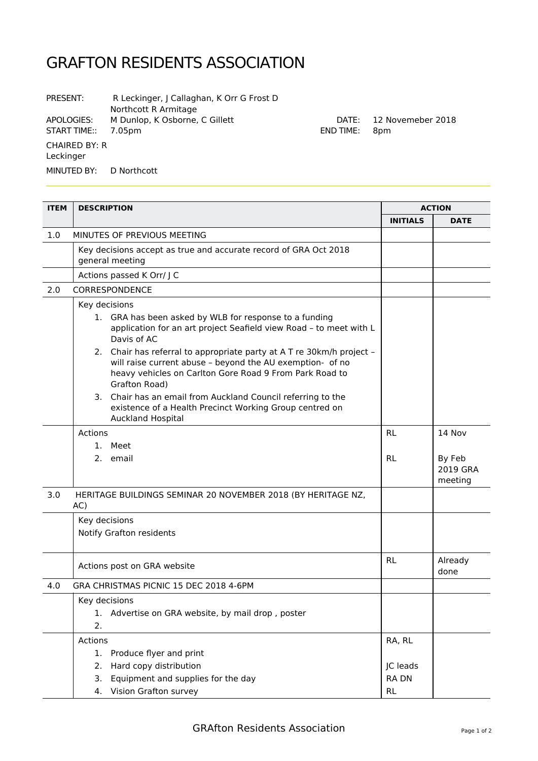## GRAFTON RESIDENTS ASSOCIATION

| PRESENT:                          | R Leckinger, J Callaghan, K Orr G Frost D<br>Northcott R Armitage |
|-----------------------------------|-------------------------------------------------------------------|
| APOLOGIES:<br>START TIME::        | M Dunlop, K Osborne, C Gillett<br>7.05pm                          |
| <b>CHAIRED BY: R</b><br>Leckinger |                                                                   |
| MINUTED BY: D Northcott           |                                                                   |

| <b>ITEM</b> | <b>DESCRIPTION</b>                                                                                                                                                                                                                                                                                                                                                                                                                                                                                        |                                                | <b>ACTION</b>                           |  |
|-------------|-----------------------------------------------------------------------------------------------------------------------------------------------------------------------------------------------------------------------------------------------------------------------------------------------------------------------------------------------------------------------------------------------------------------------------------------------------------------------------------------------------------|------------------------------------------------|-----------------------------------------|--|
|             |                                                                                                                                                                                                                                                                                                                                                                                                                                                                                                           | <b>INITIALS</b>                                | <b>DATE</b>                             |  |
| 1.0         | MINUTES OF PREVIOUS MEETING                                                                                                                                                                                                                                                                                                                                                                                                                                                                               |                                                |                                         |  |
|             | Key decisions accept as true and accurate record of GRA Oct 2018<br>general meeting                                                                                                                                                                                                                                                                                                                                                                                                                       |                                                |                                         |  |
|             | Actions passed K Orr/ J C                                                                                                                                                                                                                                                                                                                                                                                                                                                                                 |                                                |                                         |  |
| 2.0         | CORRESPONDENCE                                                                                                                                                                                                                                                                                                                                                                                                                                                                                            |                                                |                                         |  |
|             | Key decisions<br>1. GRA has been asked by WLB for response to a funding<br>application for an art project Seafield view Road - to meet with L<br>Davis of AC<br>2. Chair has referral to appropriate party at A T re 30km/h project -<br>will raise current abuse - beyond the AU exemption- of no<br>heavy vehicles on Carlton Gore Road 9 From Park Road to<br>Grafton Road)<br>3. Chair has an email from Auckland Council referring to the<br>existence of a Health Precinct Working Group centred on |                                                |                                         |  |
|             | <b>Auckland Hospital</b><br><b>Actions</b><br>1. Meet<br>2. email                                                                                                                                                                                                                                                                                                                                                                                                                                         | <b>RL</b><br><b>RL</b>                         | 14 Nov<br>By Feb<br>2019 GRA<br>meeting |  |
| 3.0         | HERITAGE BUILDINGS SEMINAR 20 NOVEMBER 2018 (BY HERITAGE NZ,<br>AC)                                                                                                                                                                                                                                                                                                                                                                                                                                       |                                                |                                         |  |
|             | Key decisions<br>Notify Grafton residents                                                                                                                                                                                                                                                                                                                                                                                                                                                                 |                                                |                                         |  |
|             | Actions post on GRA website                                                                                                                                                                                                                                                                                                                                                                                                                                                                               | <b>RL</b>                                      | Already<br>done                         |  |
| 4.0         | GRA CHRISTMAS PICNIC 15 DEC 2018 4-6PM                                                                                                                                                                                                                                                                                                                                                                                                                                                                    |                                                |                                         |  |
|             | Key decisions<br>Advertise on GRA website, by mail drop, poster<br>ı.<br>2.                                                                                                                                                                                                                                                                                                                                                                                                                               |                                                |                                         |  |
|             | Actions<br>Produce flyer and print<br>1.<br>Hard copy distribution<br>2.<br>Equipment and supplies for the day<br>3.<br>Vision Grafton survey<br>4.                                                                                                                                                                                                                                                                                                                                                       | RA, RL<br>JC leads<br><b>RADN</b><br><b>RL</b> |                                         |  |

DATE: 12 Novemeber 2018

END TIME: 8pm